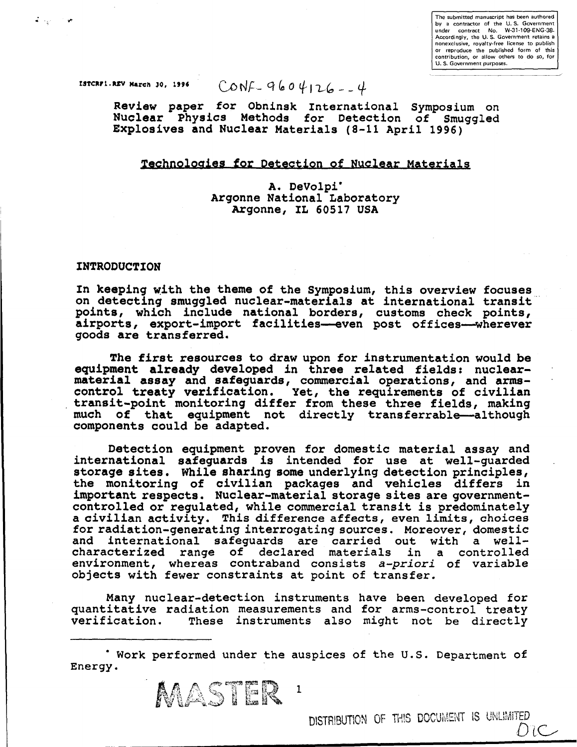The submitted manuscript has been authored by a contractor of the U. S. Government under contract No. W-31-109-ENG-38- Accordingly, the U. S. Government retains a nonexclusive, royalty-free license to publish or reproduce the published form of this contribution, or allow others to do so, for U. S. Government purposes.

 $\sigma_{\rm{max}}=0$ 

**rstckFi.kEV March 30, 1996** CONF  $\frac{9604126}{+11}$ 

**Review paper** for **Obninsk International Symposium on Nuclear Physics Methods for Detection of** Smuggled **Explosives and Nuclear Materials (8-11 April 1996)** 

# **Technologies for Detection of Nuclear Materials**

**A. DeVolpi\* Argonne National Laboratory Argonne, IL 60517 USA** 

### **INTRODUCTION**

**In keeping with the theme of the Symposium, this overview focuses on detecting smuggled nuclear-materials at international transit points, which include national borders, customs check points, airports, export-import facilities—even post offices—wherever goods are transferred.** 

**The first resources to draw upon for instrumentation would be equipment already developed in three related fields: nuclearmaterial assay and safeguards, commercial operations, and armscontrol treaty verification. Yet, the requirements of civilian transit-point monitoring differ from these three fields, making much of that equipment not directly transferrable—although components could be adapted.** 

**Detection equipment proven for domestic material assay and international safeguards is intended for use at well-guarded storage sites. While sharing some underlying detection principles, the monitoring of civilian packages and vehicles differs in important respects. Nuclear-material storage sites are governmentcontrolled or regulated,** while commercial transit is predominately **a civilian** activity. This difference affects, even limits, choices **for** radiation-generating interrogating sources. Moreover, domestic and international safeguards are carried out with a wellcharacterized range of declared materials in a controlled environment, whereas contraband consists *a-priori* of variable objects with fewer constraints at point of transfer.

Many nuclear-detection instruments have been developed for quantitative radiation measurements and for arms-control treaty These instruments also might not be directly

Work performed under the auspices of the U.S. Department of Energy.

MASTER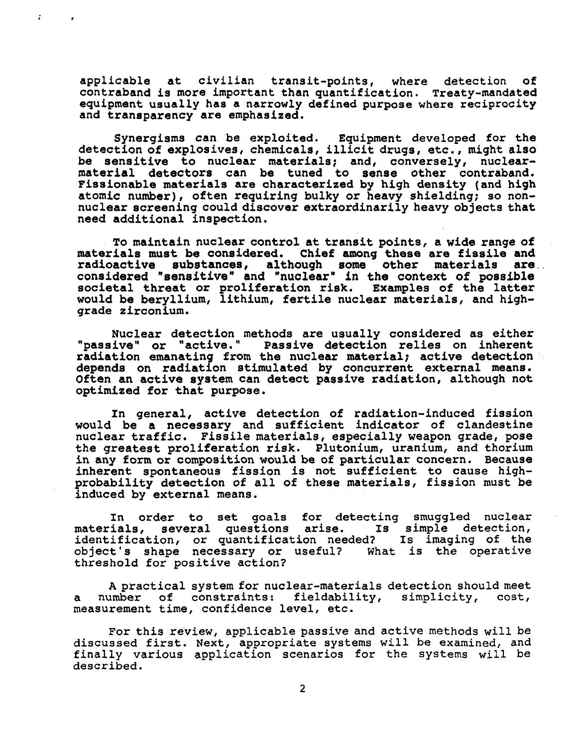**applicable at civilian transit-points, where detection of contraband is more important than quantification. Treaty-mandated equipment usually has a narrowly defined purpose where reciprocity and transparency are emphasized.** 

÷

**Synergisms can be exploited. Equipment developed for the detection of explosives, chemicals, illicit drugs, etc., might also be sensitive to nuclear materials; and, conversely, nuclearmaterial detectors can be tuned to sense other contraband. Fissionable materials are characterized by high density (and high atomic number), often requiring bulky or heavy shielding; so nonnuclear screening could discover extraordinarily heavy objects that need additional inspection.** 

**To maintain nuclear control at transit points, a wide range of materials must be considered. Chief among these are fissile and radioactive substances, although some other materials are considered "sensitive" and "nuclear" in the context of possible societal threat or proliferation risk. Examples of the latter would be beryllium, lithium, fertile nuclear materials, and highgrade zirconium.** 

**Nuclear detection methods are usually considered as either "passive" or "active." Passive detection relies on inherent radiation emanating from the nuclear material; active detection depends on radiation stimulated by concurrent external means. Often an active system can detect passive radiation, although not optimized for that purpose.** 

**In general, active detection of radiation-induced fission would be a necessary and sufficient indicator of clandestine nuclear traffic. Fissile materials, especially weapon grade, pose the greatest proliferation risk. Plutonium, uranium,** and **thorium in any form or composition would be of particular concern. Because inherent spontaneous fission is not sufficient to cause** high**probability detection of all of these materials,** fission must **be induced by external means.** 

**In order to set** goals **for** detecting smuggled nuclear materials, **several** questions arise. Is simple detection, identification, or quantification needed? Is imaging of the object's shape necessary or useful? what is the operative threshold for positive action?

A practical system for nuclear-materials detection should meet a number of constraints: fieldability, simplicity, cost, measurement time, confidence level, etc.

For this review, applicable passive and active methods will be discussed first. Next, appropriate systems will be examined, and finally various application scenarios for the systems will be described.

2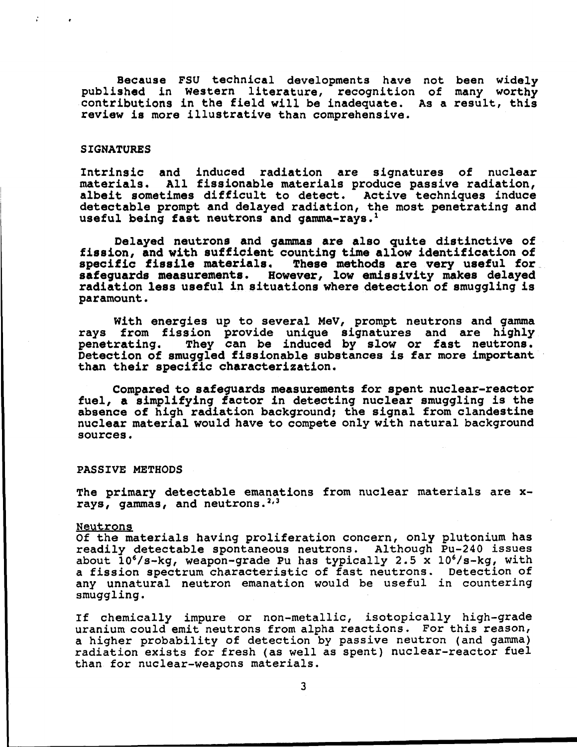**Because FSU technical developments have not been widely published in Western literature, recognition of many worthy contributions in the field will be inadequate. As a result, this review is more illustrative than comprehensive.** 

## **SIGNATURES**

**Intrinsic and induced radiation are signatures of nuclear materials. All fissionable materials produce passive radiation, albeit sometimes difficult to detect. Active techniques induce detectable prompt and delayed radiation, the most penetrating and useful being fast neutrons and gamma-rays.<sup>1</sup>**

**Delayed neutrons and gammas are also quite distinctive of fission, and with sufficient counting time allow identification of specific fissile materials. These methods are very useful for safeguards measurements. However, low emissivity makes delayed radiation less useful in situations where detection of smuggling is paramount.** 

**With energies up to several MeV, prompt neutrons and gamma rays from fission provide unique signatures and are highly penetrating. They can be induced by slow or fast neutrons. Detection of smuggled fissionable substances is far more important than their specific characterization.** 

**Compared to safeguards measurements for spent nuclear-reactor fuel, a simplifying factor in detecting nuclear smuggling is the absence of high radiation background; the signal from clandestine nuclear material would have to compete only with natural background sources.** 

**PASSIVE METHODS** 

**The primary detectable emanations from nuclear materials are xrays, gammas, and neutrons.<sup>2</sup>' 3** 

### Neutrons

Of **the materials** having proliferation concern, only plutonium has readily detectable spontaneous neutrons. Although Pu-240 issues about  $10^{6}/s$ -kg, weapon-grade Pu has typically 2.5 x  $10^{6}/s$ -kg, with a fission spectrum characteristic of fast neutrons. Detection of any unnatural neutron emanation would be useful in countering smuggling.

If chemically impure or non-metallic, isotopically high-grade uranium could emit neutrons from alpha reactions. For this reason, a higher probability of detection by passive neutron (and gamma) radiation exists for fresh (as well as spent) nuclear-reactor fuel than for nuclear-weapons materials.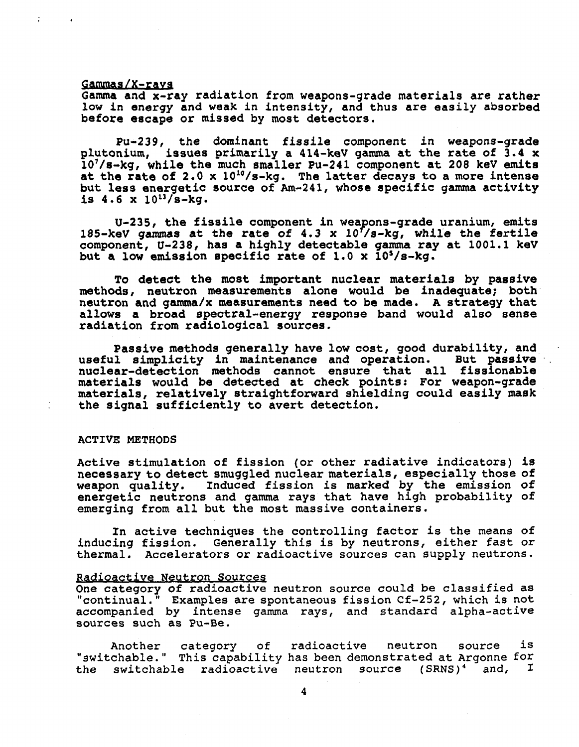#### **Gammag/X-rays**

**Gamma and x-ray radiation from weapons-grade materials are rather low in energy and weak** in **intensity, and thus are easily absorbed before escape or missed by most detectors.** 

**Pu-239, the dominant fissile component in weapons-grade plutonium, issues primarily a 414-keV gamma at the rate of 3.4 x 107/s-kg, while the much smaller Pu-241 component at 208 keV emits at the rate of 2.0 x 1010/s-kg. The latter decays to a more intense but less energetic source of Am-241, whose specific gamma activity**  is  $4.6 \times 10^{13} / s - kq$ .

**U-235, the fissile component in weapons-grade uranium, emits 185-keV gammas at the rate of 4.3 x lOYs-kg, while the fertile component, U-238, has a highly detectable gamma ray at 1001.1 keV**  but a low emission specific rate of 1.0 x 10<sup>5</sup>/s-kg.

**To detect the most important nuclear materials by passive methods, neutron measurements alone would be inadequate; both neutron and gamma/x measurements need to be made. A strategy that allows a broad spectral-energy response band would also sense radiation from radiological sources.** 

**Passive methods generally have low cost, good durability, and useful simplicity in maintenance and operation. But passive nuclear-detection methods cannot ensure that all fissionable materials would be detected at check points: For weapon-grade materials, relatively straightforward shielding could easily mask the signal sufficiently to avert detection.** 

## **ACTIVE METHODS**

**Active stimulation of fission (or other radiative indicators) is necessary to detect smuggled nuclear materials, especially those of**  Induced fission is marked by the emission of **energetic neutrons and gamma rays that have high probability of emerging from all but the most massive containers.** 

**In active techniques the** controlling **factor** is the means of inducing fission. Generally this is by neutrons, either fast or thermal. Accelerators or radioactive sources can supply neutrons.

#### Radioactive Neutron Sources

One category **of** radioactive neutron source could be classified as "continual." Examples are spontaneous fission Cf-252, which is not accompanied by intense gamma rays, and standard alpha-active sources such as Pu-Be.

Another category of radioactive neutron source is "switchable." This capability has been demonstrated at Argonne for the switchable radioactive neutron source (SRNS)<sup>4</sup> and,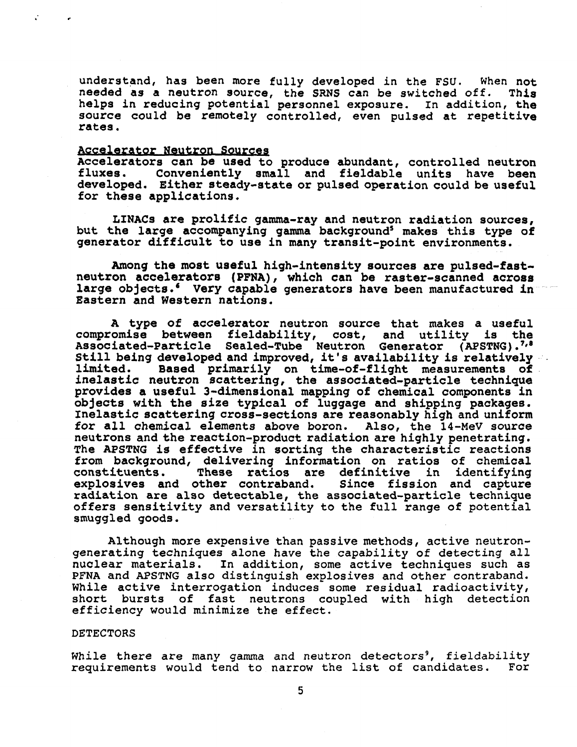**understand, has been more fully developed** in the FSU. when **not needed as a neutron source, the SRNS can be switched** off. **This helps in reducing potential personnel exposure.** In addition, **the source could be remotely controlled, even pulsed at repetitive rates.** 

#### **Accelerator Neutron Sources**

**Accelerators can be used to produce abundant, controlled neutron**  Conveniently small and fieldable units have been **developed. Either steady-state or pulsed operation could be useful for these applications.** 

**LINACs are prolific gamma-ray and neutron radiation sources, but the large accompanying gamma background5 makes this type of generator difficult to use in many transit-point environments.** 

**Among the most useful high-intensity sources are pulsed-fastneutron accelerators (PFNA), which can be raster-scanned across large objects.' Very capable generators have been manufactured in Eastern and Western nations.** 

**A type of accelerator neutron source that makes a useful compromise between fieldability, cost, and utility is the Associated-Particle Sealed-Tube Neutron Generator (APSTNG ).<sup>7</sup> '\* Still being developed and improved, it' s availability is relatively limited. Based primarily on time-of-flight measurements of inelastic neutron scattering, the associated-particle technique provides a useful 3-dimensional mapping of chemical components in objects with the size typical of luggage and shipping packages. Inelastic scattering cross-sections are reasonably high and uniform for all chemical elements above boron. Also, the 14-MeV source neutrons and the reaction-product radiation are highly penetrating. The APSTNG is effective in sorting the characteristic reactions from background, delivering information on ratios of chemical constituents. These ratios are definitive in identifying explosives and other contraband. Since fission and capture radiation are also detectable,** the associated-particle technique **offers** sensitivity and versatility to the full range of potential smuggled goods.

Although more expensive than passive methods, active neutrongenerating techniques alone have the capability of detecting all nuclear materials. In addition, some active techniques such as PFNA and APSTNG also distinguish explosives and other contraband. While active interrogation induces some residual radioactivity, short bursts of fast neutrons coupled with high detection efficiency would minimize the effect.

## DETECTORS

While there are many gamma and neutron detectors<sup>9</sup>, fieldability requirements would tend to narrow the list of candidates. For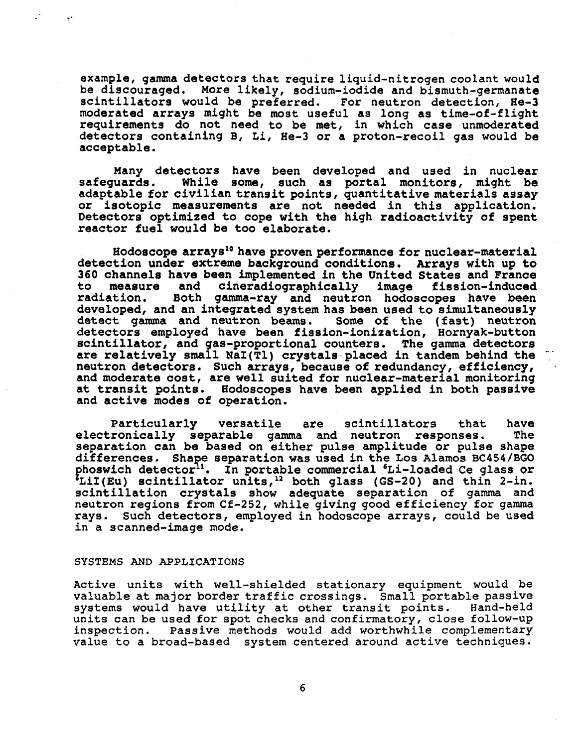**example, gamma detectors that require liquid-nitrogen coolant would be discouraged. More likely, sodium-iodide and bismuth-germanate scintillators would be preferred. For neutron detection, He-3 moderated arrays might be most useful as long as time-of-flight requirements do not need to be met, in which case unmoderated detectors containing B, Li, He-3 or a proton-recoil gas would be acceptable.** 

**Many detectors have been developed and used in nuclear safeguards. While some, such as portal monitors, might be adaptable for civilian transit points, quantitative materials assay or isotopic measurements are not needed in this application. Detectors optimized to cope with the high radioactivity of spent reactor fuel would be too elaborate.** 

**Hodoscope arrays10 have proven performance for nuclear-material detection under extreme background conditions. Arrays with up to 360 channels have been implemented in the United States and France to measure and cineradiographically image fission-induced**  Both gamma-ray and neutron hodoscopes have been **developed, and an integrated system has been used to simultaneously detect gamma and neutron beams. Some of the (fast) neutron detectors employed have been fission-ionization, Hornyak-button scintillator, and gas-proportional counters. The gamma detectors are relatively small Nal(Tl) crystals placed in tandem behind the neutron detectors. Such arrays, because of redundancy, efficiency, and moderate cost, are well suited for nuclear-material monitoring at transit points. Hodoscopes have been applied in both passive and active modes of operation.** 

**Particularly versatile are scintillators** that **have electronically separable gamma and neutron responses. The separation can be based on either pulse amplitude or pulse shape differences. Shape separation was used in the Los Alamos BC454/BGO phoswich detector11. In portable commercial 'Li-loaded Ce glass or \*LiI(Eu) scintillator units,12 both glass (GS-20)** and thin 2-in. **scintillation crystals show adequate separation of** gamma **and**  neutron **regions from** Cf-252, while giving good efficiency for gamma rays. Such **detectors,** employed in hodoscope arrays, could be used in a scanned-image mode.

# SYSTEMS AND APPLICATIONS

Active units with well-shielded stationary equipment would be valuable at major border traffic crossings. Small portable passive systems would have utility at other transit points. Hand-held units can be used for spot checks and confirmatory, close follow-up inspection. Passive methods would add worthwhile complementary value to a broad-based system centered around active techniques.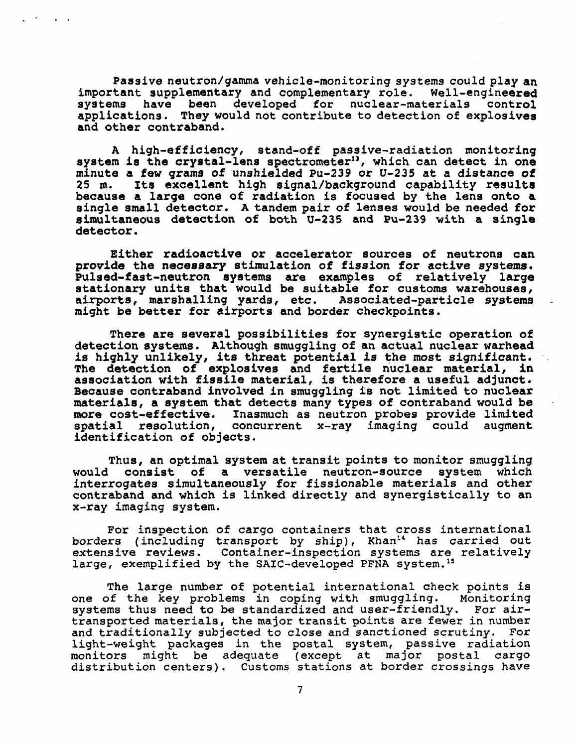**Passive neutron/gamma vehicle-monitoring** systems could **play an important supplementary and complementary role. Well-engineered systems have been developed for nuclear-materials control applications. They would not contribute to detection of explosives and other contraband.** 

**A high-efficiency, stand-off passive-radiation monitoring system is the crystal-lens spectrometer", which can detect in one minute a few grams of unshielded Pu-239 or U-235 at a distance of 25 m. Its excellent high signal/background capability results because a large cone of radiation is focused by the lens onto a single small detector. A tandem pair of lenses would be needed for simultaneous detection of both U-235 and Pu-239 with a single detector.** 

**Either radioactive or accelerator sources of neutrons can provide the necessary stimulation of fission for active systems. Pulsed-fast-neutron systems are examples of relatively large stationary units that would be suitable for customs warehouses, airports, marshalling yards, etc. Associated-particle systems might be better for airports and border checkpoints.** 

**There are several possibilities for synergistic operation of detection systems. Although smuggling of an actual nuclear warhead is highly unlikely, its threat potential is the most significant. The detection of explosives and fertile nuclear material, in association with fissile material, is therefore a useful adjunct. Because contraband involved in smuggling is not limited to nuclear materials, a system that detects many types of contraband would be more cost-effective. Inasmuch as neutron probes provide limited**  concurrent x-ray imaging could augment **identification of objects.** 

**Thus, an optimal system at transit points to monitor smuggling**  would consist of a versatile neutron-source **interrogates simultaneously for fissionable materials and other contraband and which is linked directly and** synergistically to **an x-ray** imaging **system.** 

For inspection **of** cargo containers that cross international borders (including transport by ship), Khan<sup>14</sup> has carried out extensive reviews. Container-inspection systems are relatively large, exemplified by the SAIC-developed PFNA system.<sup>15</sup>

The large number of potential international check points is one of the key problems in coping with smuggling. Monitoring systems thus need to be standardized and user-friendly. For airtransported materials, the major transit points are fewer in number and traditionally subjected to close and sanctioned scrutiny. For light-weight packages in the postal system, passive radiation monitors might be adequate (except at major postal cargo distribution centers). Customs stations at border crossings have

7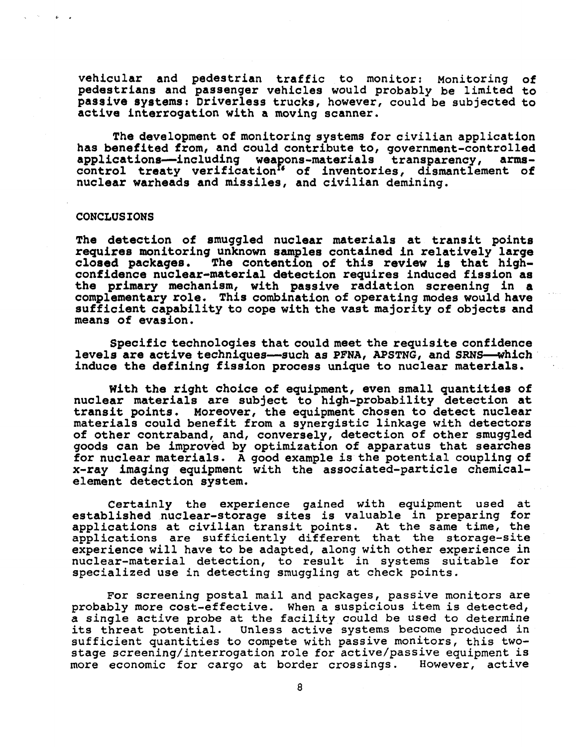**vehicular and pedestrian traffic to monitor: Monitoring of pedestrians and passenger vehicles would probably be limited to passive systems: Driverless trucks, however, could** be **subjected to active interrogation with a moving scanner.** 

**The development of monitoring systems for civilian application has benefited from, and could contribute to, government-controlled**  applications--including weapons-materials transparency, **control treaty verification" of inventories, dismantlement of nuclear warheads and missiles, and civilian demining.** 

#### **CONCLUSIONS**

**The detection of smuggled nuclear materials at transit points requires monitoring unknown samples contained in relatively large closed packages. The contention of this review is that highconfidence nuclear-material detection requires induced fission as the primary mechanism, with passive radiation screening in a complementary role. This combination of operating modes would have sufficient capability to cope with the vast majority of objects and means of evasion.** 

**Specific technologies that could meet the requisite confidence levels are active techniques—such as PFNA, APSTNG, and SRNS—which induce the defining fission process unique to nuclear materials.** 

**With the right choice of equipment, even small quantities of nuclear materials are subject to high-probability detection at transit points. Moreover, the equipment chosen to detect nuclear materials could benefit from a synergistic linkage with detectors of other contraband, and, conversely, detection of other smuggled goods can be improved by optimization of apparatus that searches for nuclear materials. A good example is the potential coupling of x-ray imaging equipment with the associated-particle chemicalelement detection system.** 

**Certainly the** experience gained with equipment used **at established nuclear-storage sites** is **valuable** in **preparing for applications at civilian** transit points. At the same time, the applications are sufficiently different that the storage-site experience will have to be adapted, along with other experience in nuclear-material detection, to result in systems suitable for specialized use in detecting smuggling at check points.

For screening postal mail and packages, passive monitors are probably more cost-effective. When a suspicious item is detected, a single active probe at the facility could be used to determine its threat potential. Unless active systems become produced in sufficient quantities to compete with passive monitors, this twostage screening/interrogation role for active/passive equipment is more economic for cargo at border crossings. However, active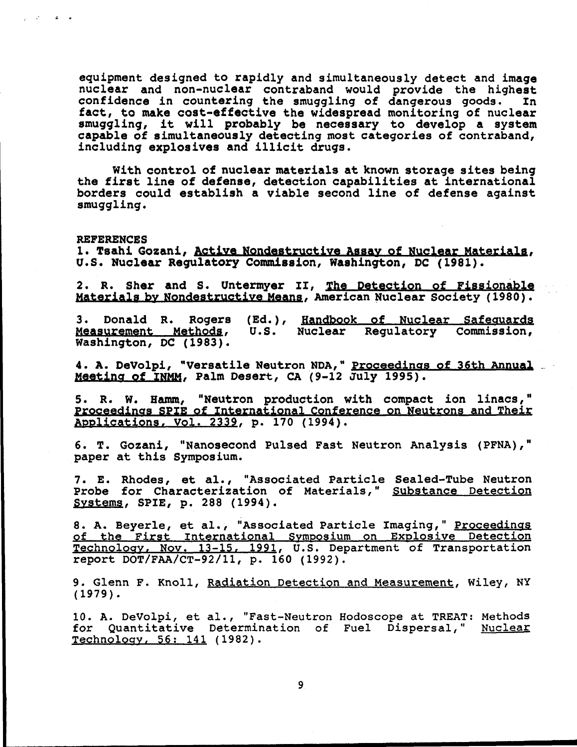**equipment designed to rapidly and simultaneously detect and Image**  nuclear and non-nuclear contraband would provide the highest<br>confidence in countering the smuggling of dangerous goods. In confidence in countering the smuggling of dangerous goods. **fact, to make cost-effective the widespread monitoring of nuclear smuggling, it will probably be necessary to develop a system capable of simultaneously detecting most categories of contraband, including explosives and illicit drugs.** 

**With control of nuclear materials at known storage sites being the first line of defense, detection capabilities at international borders could establish a viable second line of defense against smuggling.** 

**REFERENCES** 

لأناق الأراني

**1. Tsahi Gozani, Active Nondestructive Assay of Nuclear Materials. U.S. Nuclear Regulatory Commission, Washington, DC (1981).** 

**2. R. Sher and S. Untermyer II, The Detection of Fissionable**  Materials by Nondestructive Means, American Nuclear Society (1980).

**3. Donald R. Rogers (Ed.), Handbook of Nuclear Safeguards Measurement Methods***.* **U.S. Nuclear Regulatory Commission, Washington, DC (1983).** 

**4. A. DeVolpi, "Versatile Neutron NDA," Proceedings of 36th Annual Meeting of INMM. Palm Desert, CA (9-12 July 1995).** 

**5. R. W. Hamm, "Neutron production with compact ion linacs," Proceedings SPIE of International Conference on Neutrons and Their Applications. Vol. 2339, p. 170 (1994).** 

**6. T. Gozani, "Nanosecond Pulsed Fast Neutron Analysis (PFNA)," paper at this Symposium.** 

**7. E. Rhodes, et al., "Associated Particle Sealed-Tube Neutron Probe for Characterization of** Materials," Substance Detection **Systems**. **SPIE, p. 288 (1994).** 

**8. A. Beyerle, et** al., "Associated Particle Imaging," Proceedings of the First International Symposium on Explosive Detection Technology, Nov. 13-15, 1991, U.S. Department of Transportation report DOT/FAA/CT-92/11, p. 160 (1992).

9. Glenn F. Knoll, Radiation Detection and Measurement, Wiley, NY (1979).

10. A. DeVolpi, et al., "Fast-Neutron Hodoscope at TREAT: Methods for Quantitative Determination of Fuel Dispersal," Nuclear Technology, 56; 141 (1982).

9